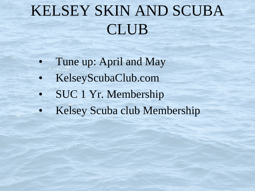## KELSEY SKIN AND SCUBA CLUB

- Tune up: April and May
- KelseyScubaClub.com
- SUC 1 Yr. Membership
- Kelsey Scuba club Membership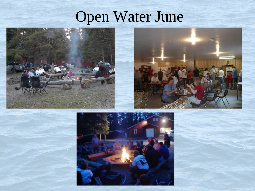## Open Water June





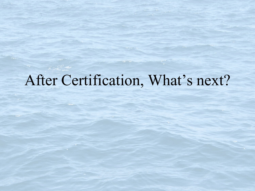### After Certification, What's next?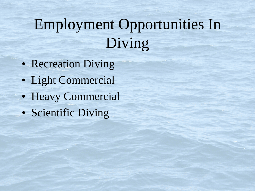## Employment Opportunities In Diving

- Recreation Diving
- Light Commercial
- Heavy Commercial
- Scientific Diving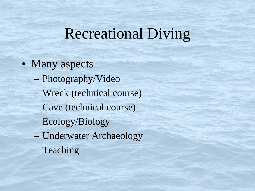#### Recreational Diving

- Many aspects
	- Photography/Video
	- Wreck (technical course)
	- Cave (technical course)
	- Ecology/Biology
	- Underwater Archaeology
	- Teaching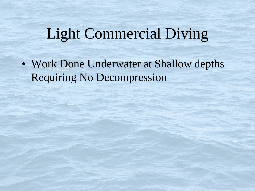## Light Commercial Diving

• Work Done Underwater at Shallow depths Requiring No Decompression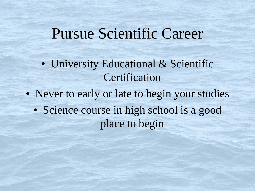#### Pursue Scientific Career

• University Educational & Scientific Certification

• Never to early or late to begin your studies • Science course in high school is a good place to begin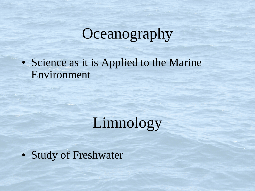## **Oceanography**

• Science as it is Applied to the Marine Environment

Limnology

• Study of Freshwater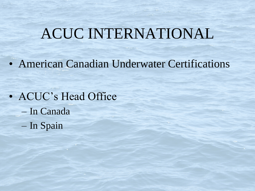### ACUC INTERNATIONAL

• American Canadian Underwater Certifications

• ACUC's Head Office – In Canada – In Spain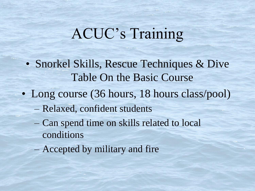## ACUC's Training

- Snorkel Skills, Rescue Techniques & Dive Table On the Basic Course
- Long course (36 hours, 18 hours class/pool)
	- Relaxed, confident students
	- Can spend time on skills related to local conditions
	- Accepted by military and fire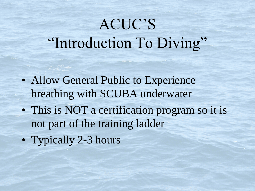## ACUC'S "Introduction To Diving"

- Allow General Public to Experience breathing with SCUBA underwater
- This is NOT a certification program so it is not part of the training ladder
- Typically 2-3 hours